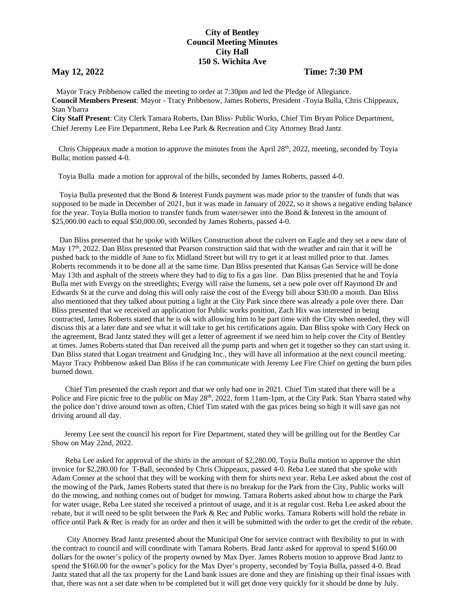## **City of Bentley Council Meeting Minutes City Hall 150 S. Wichita Ave**

## **May 12, 2022 Time: 7:30 PM**

 Mayor Tracy Pribbenow called the meeting to order at 7:30pm and led the Pledge of Allegiance. **Council Members Present**: Mayor - Tracy Pribbenow, James Roberts, President -Toyia Bulla, Chris Chippeaux, Stan Ybarra

**City Staff Present**: City Clerk Tamara Roberts, Dan Bliss- Public Works, Chief Tim Bryan Police Department, Chief Jeremy Lee Fire Department, Reba Lee Park & Recreation and City Attorney Brad Jantz

Chris Chippeaux made a motion to approve the minutes from the April  $28<sup>th</sup>$ , 2022, meeting, seconded by Toyia Bulla; motion passed 4-0.

Toyia Bulla made a motion for approval of the bills, seconded by James Roberts, passed 4-0.

 Toyia Bulla presented that the Bond & Interest Funds payment was made prior to the transfer of funds that was supposed to be made in December of 2021, but it was made in January of 2022, so it shows a negative ending balance for the year. Toyia Bulla motion to transfer funds from water/sewer into the Bond & Interest in the amount of \$25,000.00 each to equal \$50,000.00, seconded by James Roberts, passed 4-0.

 Dan Bliss presented that he spoke with Wilkes Construction about the culvert on Eagle and they set a new date of May 17<sup>th</sup>, 2022. Dan Bliss presented that Pearson construction said that with the weather and rain that it will be pushed back to the middle of June to fix Midland Street but will try to get it at least milled prior to that. James Roberts recommends it to be done all at the same time. Dan Bliss presented that Kansas Gas Service will be done May 13th and asphalt of the streets where they had to dig to fix a gas line. Dan Bliss presented that he and Toyia Bulla met with Evergy on the streetlights; Evergy will raise the lumens, set a new pole over off Raymond Dr and Edwards St at the curve and doing this will only raise the cost of the Evergy bill about \$30.00 a month. Dan Bliss also mentioned that they talked about putting a light at the City Park since there was already a pole over there. Dan Bliss presented that we received an application for Public works position, Zach Hix was interested in being contracted, James Roberts stated that he is ok with allowing him to be part time with the City when needed, they will discuss this at a later date and see what it will take to get his certifications again. Dan Bliss spoke with Cory Heck on the agreement, Brad Jantz stated they will get a letter of agreement if we need him to help cover the City of Bentley at times. James Roberts stated that Dan received all the pump parts and when get it together so they can start using it. Dan Bliss stated that Logan treatment and Grudging Inc., they will have all information at the next council meeting. Mayor Tracy Pribbenow asked Dan Bliss if he can communicate with Jeremy Lee Fire Chief on getting the burn piles burned down.

 Chief Tim presented the crash report and that we only had one in 2021. Chief Tim stated that there will be a Police and Fire picnic free to the public on May 28<sup>th</sup>, 2022, form 11am-1pm, at the City Park. Stan Ybarra stated why the police don't drive around town as often, Chief Tim stated with the gas prices being so high it will save gas not driving around all day.

Jeremy Lee sent the council his report for Fire Department, stated they will be grilling out for the Bentley Car Show on May 22nd, 2022.

 Reba Lee asked for approval of the shirts in the amount of \$2,280.00, Toyia Bulla motion to approve the shirt invoice for \$2,280.00 for T-Ball, seconded by Chris Chippeaux, passed 4-0. Reba Lee stated that she spoke with Adam Conner at the school that they will be working with them for shirts next year. Reba Lee asked about the cost of the mowing of the Park, James Roberts stated that there is no breakup for the Park from the City, Public works will do the mowing, and nothing comes out of budget for mowing. Tamara Roberts asked about how to charge the Park for water usage, Reba Lee stated she received a printout of usage, and it is at regular cost. Reba Lee asked about the rebate, but it will need to be split between the Park & Rec and Public works. Tamara Roberts will hold the rebate in office until Park & Rec is ready for an order and then it will be submitted with the order to get the credit of the rebate.

 City Attorney Brad Jantz presented about the Municipal One for service contract with flexibility to put in with the contract to council and will coordinate with Tamara Roberts. Brad Jantz asked for approval to spend \$160.00 dollars for the owner's policy of the property owned by Max Dyer. James Roberts motion to approve Brad Jantz to spend the \$160.00 for the owner's policy for the Max Dyer's property, seconded by Toyia Bulla, passed 4-0. Brad Jantz stated that all the tax property for the Land bank issues are done and they are finishing up their final issues with that, there was not a set date when to be completed but it will get done very quickly for it should be done by July.